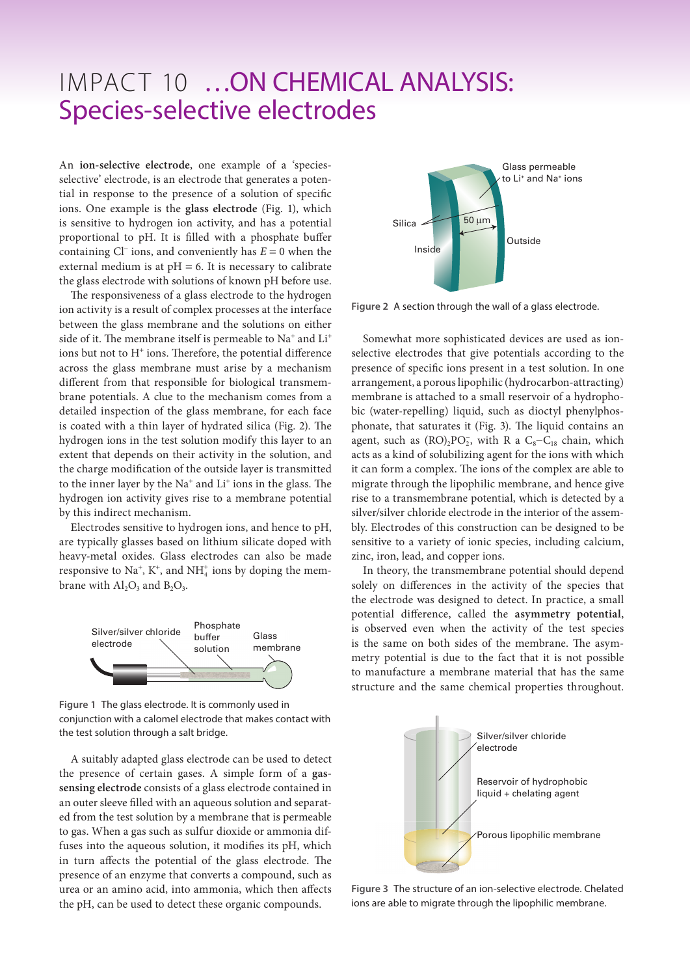## IMPACT 10 ... ON CHEMICAL ANALYSIS: Species-selective electrodes

An **ion-selective electrode**, one example of a 'speciesselective' electrode, is an electrode that generates a potential in response to the presence of a solution of specific ions. One example is the **glass electrode** (Fig. 1), which is sensitive to hydrogen ion activity, and has a potential proportional to pH. It is filled with a phosphate buffer containing Cl<sup>−</sup> ions, and conveniently has *E* = 0 when the external medium is at  $pH = 6$ . It is necessary to calibrate the glass electrode with solutions of known pH before use.

The responsiveness of a glass electrode to the hydrogen ion activity is a result of complex processes at the interface between the glass membrane and the solutions on either side of it. The membrane itself is permeable to Na<sup>+</sup> and Li<sup>+</sup> ions but not to H<sup>+</sup> ions. Therefore, the potential difference across the glass membrane must arise by a mechanism different from that responsible for biological transmembrane potentials. A clue to the mechanism comes from a detailed inspection of the glass membrane, for each face is coated with a thin layer of hydrated silica (Fig. 2). The hydrogen ions in the test solution modify this layer to an extent that depends on their activity in the solution, and the charge modification of the outside layer is transmitted to the inner layer by the Na<sup>+</sup> and Li<sup>+</sup> ions in the glass. The hydrogen ion activity gives rise to a membrane potential by this indirect mechanism.

Electrodes sensitive to hydrogen ions, and hence to pH, are typically glasses based on lithium silicate doped with heavy-metal oxides. Glass electrodes can also be made responsive to  $\mathrm{Na^+}$ , K<sup>+</sup>, and  $\mathrm{NH_4^+}$  ions by doping the membrane with  $Al_2O_3$  and  $B_2O_3$ .



**Figure 1** The glass electrode. It is commonly used in conjunction with a calomel electrode that makes contact with the test solution through a salt bridge.

A suitably adapted glass electrode can be used to detect the presence of certain gases. A simple form of a **gassensing electrode** consists of a glass electrode contained in an outer sleeve filled with an aqueous solution and separated from the test solution by a membrane that is permeable to gas. When a gas such as sulfur dioxide or ammonia diffuses into the aqueous solution, it modifies its pH, which in turn affects the potential of the glass electrode. The presence of an enzyme that converts a compound, such as urea or an amino acid, into ammonia, which then affects the pH, can be used to detect these organic compounds.



**Figure 2** A section through the wall of a glass electrode.

Somewhat more sophisticated devices are used as ionselective electrodes that give potentials according to the presence of specific ions present in a test solution. In one arrangement, a porous lipophilic (hydrocarbon-attracting) membrane is attached to a small reservoir of a hydrophobic (water-repelling) liquid, such as dioctyl phenylphosphonate, that saturates it (Fig. 3). The liquid contains an agent, such as  $(RO)_2PO_2^-$ , with R a  $C_8-C_{18}$  chain, which acts as a kind of solubilizing agent for the ions with which it can form a complex. The ions of the complex are able to migrate through the lipophilic membrane, and hence give rise to a transmembrane potential, which is detected by a silver/silver chloride electrode in the interior of the assembly. Electrodes of this construction can be designed to be sensitive to a variety of ionic species, including calcium, zinc, iron, lead, and copper ions.

In theory, the transmembrane potential should depend solely on differences in the activity of the species that the electrode was designed to detect. In practice, a small potential difference, called the **asymmetry potential**, is observed even when the activity of the test species is the same on both sides of the membrane. The asymmetry potential is due to the fact that it is not possible to manufacture a membrane material that has the same structure and the same chemical properties throughout.



**Figure 3** The structure of an ion-selective electrode. Chelated ions are able to migrate through the lipophilic membrane.